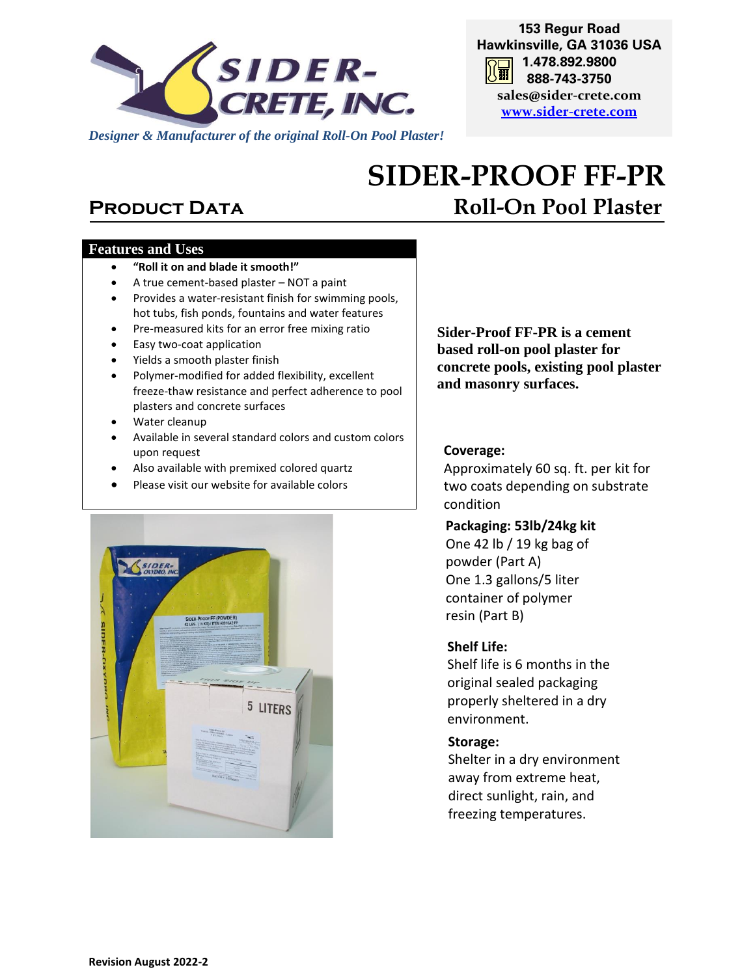

**153 Regur Road Hawkinsville, GA 31036 USA 1.478.892.9800 888-743-3750 sales@sider-crete.com [www.sider-crete.com](http://www.oxycool.com/)**

# **SIDER-PROOF FF-PR PRODUCT DATA Roll-On Pool Plaster**

#### **Features and Uses**

- **"Roll it on and blade it smooth!"**
- A true cement-based plaster NOT a paint
- Provides a water-resistant finish for swimming pools, hot tubs, fish ponds, fountains and water features
- Pre-measured kits for an error free mixing ratio
- Easy two-coat application
- Yields a smooth plaster finish
- Polymer-modified for added flexibility, excellent freeze-thaw resistance and perfect adherence to pool plasters and concrete surfaces
- Water cleanup
- Available in several standard colors and custom colors upon request
- Also available with premixed colored quartz
- Please visit our website for available colors



**Sider-Proof FF-PR is a cement based roll-on pool plaster for concrete pools, existing pool plaster and masonry surfaces.** 

#### **Coverage:**

Approximately 60 sq. ft. per kit for two coats depending on substrate condition

### **Packaging: 53lb/24kg kit**

One 42 lb / 19 kg bag of powder (Part A) One 1.3 gallons/5 liter container of polymer resin (Part B)

#### **Shelf Life:**

Shelf life is 6 months in the original sealed packaging properly sheltered in a dry environment.

#### **Storage:**

Shelter in a dry environment away from extreme heat, direct sunlight, rain, and freezing temperatures.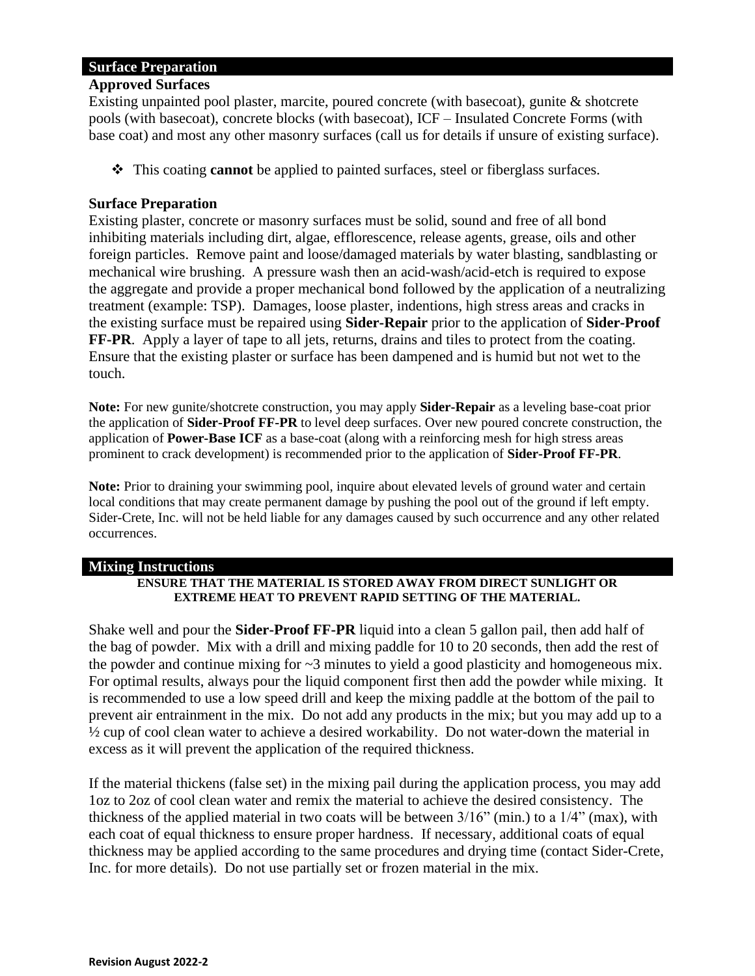#### **Surface Preparation**

#### **Approved Surfaces**

Existing unpainted pool plaster, marcite, poured concrete (with basecoat), gunite & shotcrete pools (with basecoat), concrete blocks (with basecoat), ICF – Insulated Concrete Forms (with base coat) and most any other masonry surfaces (call us for details if unsure of existing surface).

❖ This coating **cannot** be applied to painted surfaces, steel or fiberglass surfaces.

#### **Surface Preparation**

Existing plaster, concrete or masonry surfaces must be solid, sound and free of all bond inhibiting materials including dirt, algae, efflorescence, release agents, grease, oils and other foreign particles. Remove paint and loose/damaged materials by water blasting, sandblasting or mechanical wire brushing. A pressure wash then an acid-wash/acid-etch is required to expose the aggregate and provide a proper mechanical bond followed by the application of a neutralizing treatment (example: TSP). Damages, loose plaster, indentions, high stress areas and cracks in the existing surface must be repaired using **Sider-Repair** prior to the application of **Sider-Proof FF-PR**. Apply a layer of tape to all jets, returns, drains and tiles to protect from the coating. Ensure that the existing plaster or surface has been dampened and is humid but not wet to the touch.

**Note:** For new gunite/shotcrete construction, you may apply **Sider-Repair** as a leveling base-coat prior the application of **Sider-Proof FF-PR** to level deep surfaces. Over new poured concrete construction, the application of **Power-Base ICF** as a base-coat (along with a reinforcing mesh for high stress areas prominent to crack development) is recommended prior to the application of **Sider-Proof FF-PR**.

**Note:** Prior to draining your swimming pool, inquire about elevated levels of ground water and certain local conditions that may create permanent damage by pushing the pool out of the ground if left empty. Sider-Crete, Inc. will not be held liable for any damages caused by such occurrence and any other related occurrences.

#### **Mixing Instructions**

#### **ENSURE THAT THE MATERIAL IS STORED AWAY FROM DIRECT SUNLIGHT OR EXTREME HEAT TO PREVENT RAPID SETTING OF THE MATERIAL.**

Shake well and pour the **Sider-Proof FF-PR** liquid into a clean 5 gallon pail, then add half of the bag of powder. Mix with a drill and mixing paddle for 10 to 20 seconds, then add the rest of the powder and continue mixing for ~3 minutes to yield a good plasticity and homogeneous mix. For optimal results, always pour the liquid component first then add the powder while mixing. It is recommended to use a low speed drill and keep the mixing paddle at the bottom of the pail to prevent air entrainment in the mix. Do not add any products in the mix; but you may add up to a ½ cup of cool clean water to achieve a desired workability. Do not water-down the material in excess as it will prevent the application of the required thickness.

If the material thickens (false set) in the mixing pail during the application process, you may add 1oz to 2oz of cool clean water and remix the material to achieve the desired consistency. The thickness of the applied material in two coats will be between 3/16" (min.) to a 1/4" (max), with each coat of equal thickness to ensure proper hardness. If necessary, additional coats of equal thickness may be applied according to the same procedures and drying time (contact Sider-Crete, Inc. for more details). Do not use partially set or frozen material in the mix.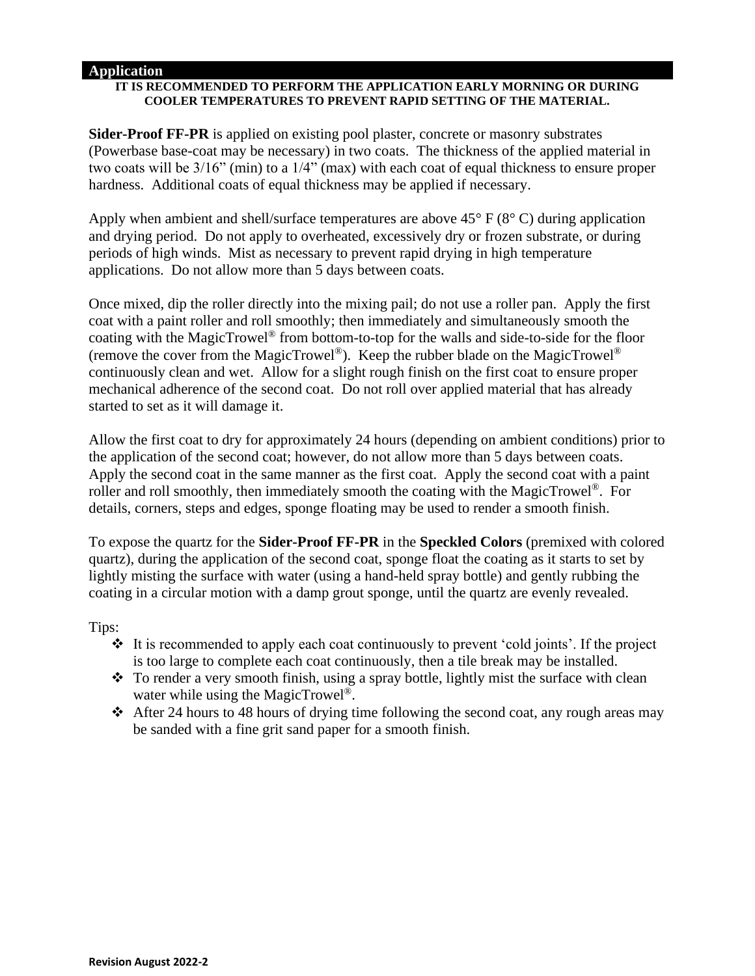#### **Application**

#### **IT IS RECOMMENDED TO PERFORM THE APPLICATION EARLY MORNING OR DURING COOLER TEMPERATURES TO PREVENT RAPID SETTING OF THE MATERIAL.**

**Sider-Proof FF-PR** is applied on existing pool plaster, concrete or masonry substrates (Powerbase base-coat may be necessary) in two coats. The thickness of the applied material in two coats will be 3/16" (min) to a 1/4" (max) with each coat of equal thickness to ensure proper hardness. Additional coats of equal thickness may be applied if necessary.

Apply when ambient and shell/surface temperatures are above  $45^{\circ}$  F ( $8^{\circ}$  C) during application and drying period. Do not apply to overheated, excessively dry or frozen substrate, or during periods of high winds. Mist as necessary to prevent rapid drying in high temperature applications. Do not allow more than 5 days between coats.

Once mixed, dip the roller directly into the mixing pail; do not use a roller pan. Apply the first coat with a paint roller and roll smoothly; then immediately and simultaneously smooth the coating with the MagicTrowel® from bottom-to-top for the walls and side-to-side for the floor (remove the cover from the MagicTrowel<sup>®</sup>). Keep the rubber blade on the MagicTrowel<sup>®</sup> continuously clean and wet. Allow for a slight rough finish on the first coat to ensure proper mechanical adherence of the second coat. Do not roll over applied material that has already started to set as it will damage it.

Allow the first coat to dry for approximately 24 hours (depending on ambient conditions) prior to the application of the second coat; however, do not allow more than 5 days between coats. Apply the second coat in the same manner as the first coat. Apply the second coat with a paint roller and roll smoothly, then immediately smooth the coating with the MagicTrowel®. For details, corners, steps and edges, sponge floating may be used to render a smooth finish.

To expose the quartz for the **Sider-Proof FF-PR** in the **Speckled Colors** (premixed with colored quartz), during the application of the second coat, sponge float the coating as it starts to set by lightly misting the surface with water (using a hand-held spray bottle) and gently rubbing the coating in a circular motion with a damp grout sponge, until the quartz are evenly revealed.

Tips:

- ❖ It is recommended to apply each coat continuously to prevent 'cold joints'. If the project is too large to complete each coat continuously, then a tile break may be installed.
- ❖ To render a very smooth finish, using a spray bottle, lightly mist the surface with clean water while using the MagicTrowel<sup>®</sup>.
- ❖ After 24 hours to 48 hours of drying time following the second coat, any rough areas may be sanded with a fine grit sand paper for a smooth finish.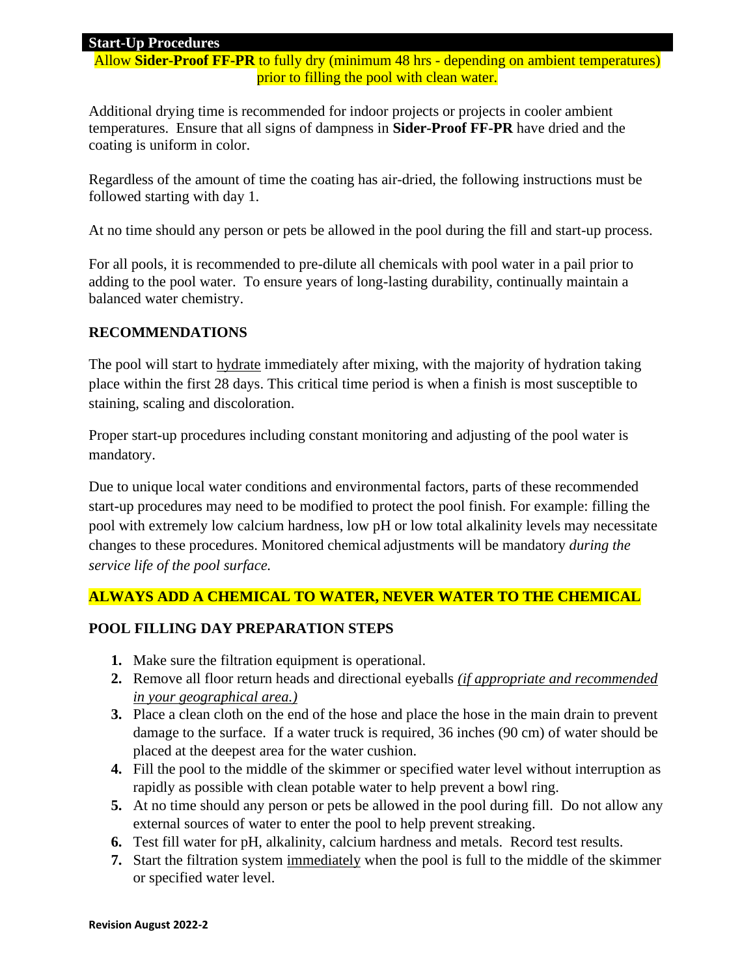#### **Start-Up Procedures**

Allow **Sider-Proof FF-PR** to fully dry (minimum 48 hrs - depending on ambient temperatures) prior to filling the pool with clean water.

Additional drying time is recommended for indoor projects or projects in cooler ambient temperatures. Ensure that all signs of dampness in **Sider-Proof FF-PR** have dried and the coating is uniform in color.

Regardless of the amount of time the coating has air-dried, the following instructions must be followed starting with day 1.

At no time should any person or pets be allowed in the pool during the fill and start-up process.

For all pools, it is recommended to pre-dilute all chemicals with pool water in a pail prior to adding to the pool water. To ensure years of long-lasting durability, continually maintain a balanced water chemistry.

#### **RECOMMENDATIONS**

The pool will start to **hydrate** immediately after mixing, with the majority of hydration taking place within the first 28 days. This critical time period is when a finish is most susceptible to staining, scaling and discoloration.

Proper start-up procedures including constant monitoring and adjusting of the pool water is mandatory.

Due to unique local water conditions and environmental factors, parts of these recommended start-up procedures may need to be modified to protect the pool finish. For example: filling the pool with extremely low calcium hardness, low pH or low total alkalinity levels may necessitate changes to these procedures. Monitored chemical adjustments will be mandatory *during the service life of the pool surface.* 

#### **ALWAYS ADD A CHEMICAL TO WATER, NEVER WATER TO THE CHEMICAL**

#### **POOL FILLING DAY PREPARATION STEPS**

- **1.** Make sure the filtration equipment is operational.
- **2.** Remove all floor return heads and directional eyeballs *(if appropriate and recommended in your geographical area.)*
- **3.** Place a clean cloth on the end of the hose and place the hose in the main drain to prevent damage to the surface. If a water truck is required, 36 inches (90 cm) of water should be placed at the deepest area for the water cushion.
- **4.** Fill the pool to the middle of the skimmer or specified water level without interruption as rapidly as possible with clean potable water to help prevent a bowl ring.
- **5.** At no time should any person or pets be allowed in the pool during fill. Do not allow any external sources of water to enter the pool to help prevent streaking.
- **6.** Test fill water for pH, alkalinity, calcium hardness and metals. Record test results.
- **7.** Start the filtration system immediately when the pool is full to the middle of the skimmer or specified water level.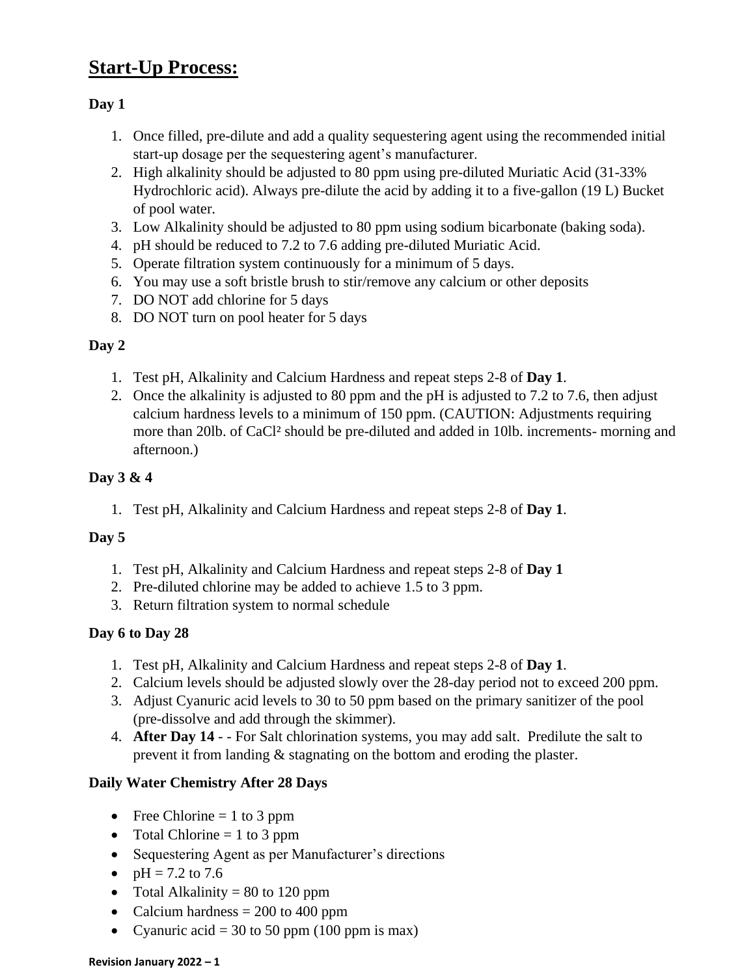## **Start-Up Process:**

#### **Day 1**

- 1. Once filled, pre-dilute and add a quality sequestering agent using the recommended initial start-up dosage per the sequestering agent's manufacturer.
- 2. High alkalinity should be adjusted to 80 ppm using pre-diluted Muriatic Acid (31-33% Hydrochloric acid). Always pre-dilute the acid by adding it to a five-gallon (19 L) Bucket of pool water.
- 3. Low Alkalinity should be adjusted to 80 ppm using sodium bicarbonate (baking soda).
- 4. pH should be reduced to 7.2 to 7.6 adding pre-diluted Muriatic Acid.
- 5. Operate filtration system continuously for a minimum of 5 days.
- 6. You may use a soft bristle brush to stir/remove any calcium or other deposits
- 7. DO NOT add chlorine for 5 days
- 8. DO NOT turn on pool heater for 5 days

#### **Day 2**

- 1. Test pH, Alkalinity and Calcium Hardness and repeat steps 2-8 of **Day 1**.
- 2. Once the alkalinity is adjusted to 80 ppm and the pH is adjusted to 7.2 to 7.6, then adjust calcium hardness levels to a minimum of 150 ppm. (CAUTION: Adjustments requiring more than 20lb. of CaCl² should be pre-diluted and added in 10lb. increments- morning and afternoon.)

#### **Day 3 & 4**

1. Test pH, Alkalinity and Calcium Hardness and repeat steps 2-8 of **Day 1**.

#### **Day 5**

- 1. Test pH, Alkalinity and Calcium Hardness and repeat steps 2-8 of **Day 1**
- 2. Pre-diluted chlorine may be added to achieve 1.5 to 3 ppm.
- 3. Return filtration system to normal schedule

#### **Day 6 to Day 28**

- 1. Test pH, Alkalinity and Calcium Hardness and repeat steps 2-8 of **Day 1**.
- 2. Calcium levels should be adjusted slowly over the 28-day period not to exceed 200 ppm.
- 3. Adjust Cyanuric acid levels to 30 to 50 ppm based on the primary sanitizer of the pool (pre-dissolve and add through the skimmer).
- 4. **After Day 14** - For Salt chlorination systems, you may add salt.Predilute the salt to prevent it from landing & stagnating on the bottom and eroding the plaster.

#### **Daily Water Chemistry After 28 Days**

- Free Chlorine  $= 1$  to 3 ppm
- Total Chlorine  $= 1$  to 3 ppm
- Sequestering Agent as per Manufacturer's directions
- $pH = 7.2$  to 7.6
- Total Alkalinity  $= 80$  to 120 ppm
- Calcium hardness  $= 200$  to 400 ppm
- Cyanuric acid = 30 to 50 ppm (100 ppm is max)

#### **Revision January 2022 – 1**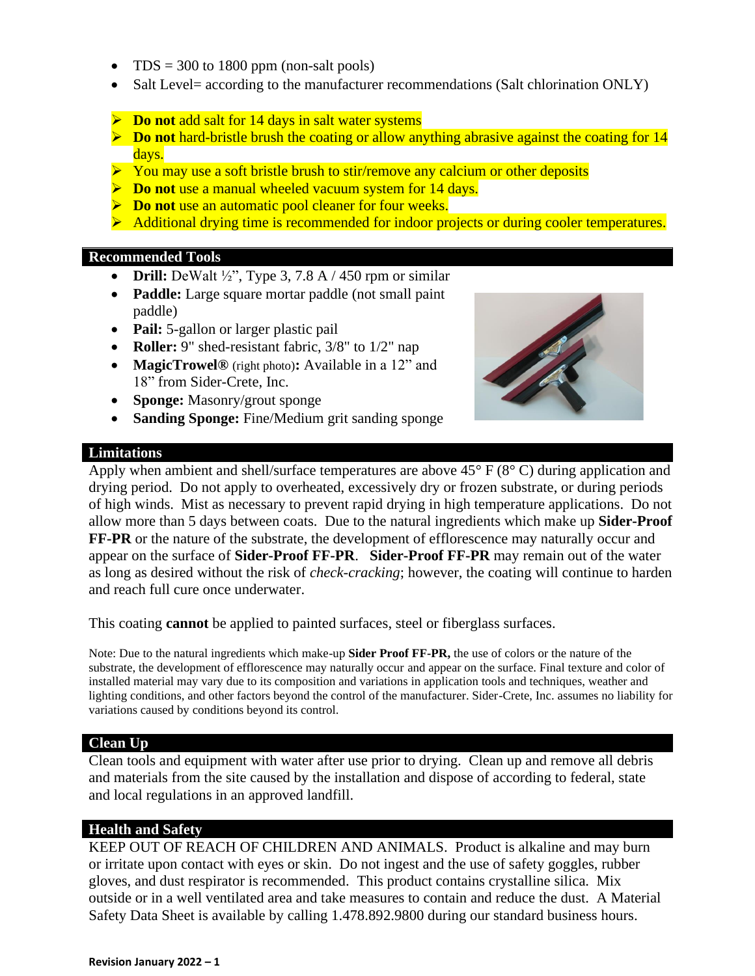- TDS = 300 to 1800 ppm (non-salt pools)
- Salt Level= according to the manufacturer recommendations (Salt chlorination ONLY)
- ➢ **Do not** add salt for 14 days in salt water systems
- ➢ **Do not** hard-bristle brush the coating or allow anything abrasive against the coating for 14 days.
- ➢ You may use a soft bristle brush to stir/remove any calcium or other deposits
- ➢ **Do not** use a manual wheeled vacuum system for 14 days.
- ➢ **Do not** use an automatic pool cleaner for four weeks.
- ➢ Additional drying time is recommended for indoor projects or during cooler temperatures.

#### **Recommended Tools**

- **Drill:** DeWalt ½", Type 3, 7.8 A / 450 rpm or similar
- **Paddle:** Large square mortar paddle (not small paint) paddle)
- **Pail:** 5-gallon or larger plastic pail
- **Roller:** 9" shed-resistant fabric,  $3/8$ " to  $1/2$ " nap
- **MagicTrowel®** (right photo)**:** Available in a 12" and 18" from Sider-Crete, Inc.
- **Sponge:** Masonry/grout sponge
- **Sanding Sponge:** Fine/Medium grit sanding sponge

#### **Limitations**



Apply when ambient and shell/surface temperatures are above 45° F (8° C) during application and drying period. Do not apply to overheated, excessively dry or frozen substrate, or during periods of high winds. Mist as necessary to prevent rapid drying in high temperature applications. Do not allow more than 5 days between coats. Due to the natural ingredients which make up **Sider-Proof FF-PR** or the nature of the substrate, the development of efflorescence may naturally occur and appear on the surface of **Sider-Proof FF-PR**. **Sider-Proof FF-PR** may remain out of the water as long as desired without the risk of *check-cracking*; however, the coating will continue to harden and reach full cure once underwater.

This coating **cannot** be applied to painted surfaces, steel or fiberglass surfaces.

Note: Due to the natural ingredients which make-up **Sider Proof FF-PR,** the use of colors or the nature of the substrate, the development of efflorescence may naturally occur and appear on the surface. Final texture and color of installed material may vary due to its composition and variations in application tools and techniques, weather and lighting conditions, and other factors beyond the control of the manufacturer. Sider-Crete, Inc. assumes no liability for variations caused by conditions beyond its control.

#### **Clean Up**

Clean tools and equipment with water after use prior to drying. Clean up and remove all debris and materials from the site caused by the installation and dispose of according to federal, state and local regulations in an approved landfill.

#### **Health and Safety**

KEEP OUT OF REACH OF CHILDREN AND ANIMALS. Product is alkaline and may burn or irritate upon contact with eyes or skin. Do not ingest and the use of safety goggles, rubber gloves, and dust respirator is recommended. This product contains crystalline silica. Mix outside or in a well ventilated area and take measures to contain and reduce the dust. A Material Safety Data Sheet is available by calling 1.478.892.9800 during our standard business hours.